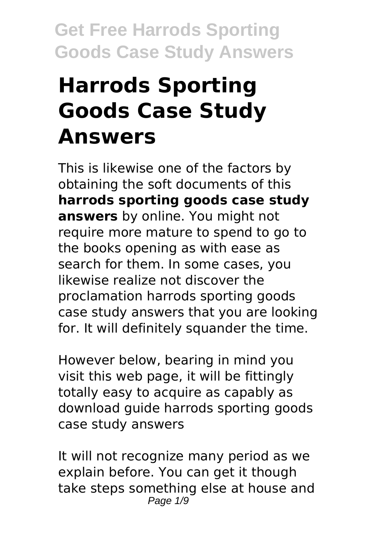# **Harrods Sporting Goods Case Study Answers**

This is likewise one of the factors by obtaining the soft documents of this **harrods sporting goods case study answers** by online. You might not require more mature to spend to go to the books opening as with ease as search for them. In some cases, you likewise realize not discover the proclamation harrods sporting goods case study answers that you are looking for. It will definitely squander the time.

However below, bearing in mind you visit this web page, it will be fittingly totally easy to acquire as capably as download guide harrods sporting goods case study answers

It will not recognize many period as we explain before. You can get it though take steps something else at house and Page  $1/9$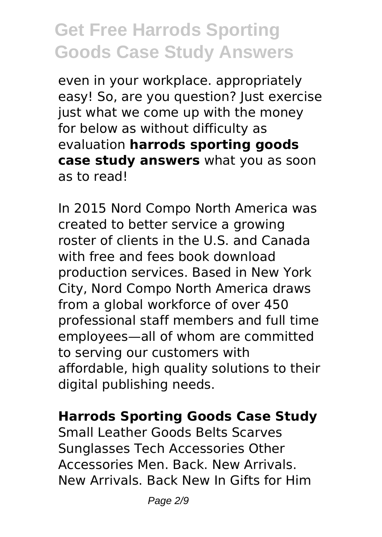even in your workplace. appropriately easy! So, are you question? Just exercise just what we come up with the money for below as without difficulty as evaluation **harrods sporting goods case study answers** what you as soon as to read!

In 2015 Nord Compo North America was created to better service a growing roster of clients in the U.S. and Canada with free and fees book download production services. Based in New York City, Nord Compo North America draws from a global workforce of over 450 professional staff members and full time employees—all of whom are committed to serving our customers with affordable, high quality solutions to their digital publishing needs.

#### **Harrods Sporting Goods Case Study**

Small Leather Goods Belts Scarves Sunglasses Tech Accessories Other Accessories Men. Back. New Arrivals. New Arrivals. Back New In Gifts for Him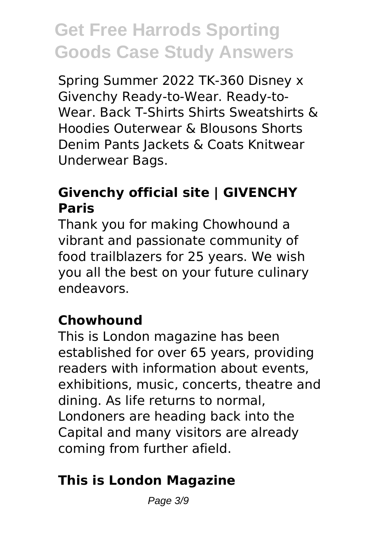Spring Summer 2022 TK-360 Disney x Givenchy Ready-to-Wear. Ready-to-Wear. Back T-Shirts Shirts Sweatshirts & Hoodies Outerwear & Blousons Shorts Denim Pants Jackets & Coats Knitwear Underwear Bags.

### **Givenchy official site | GIVENCHY Paris**

Thank you for making Chowhound a vibrant and passionate community of food trailblazers for 25 years. We wish you all the best on your future culinary endeavors.

#### **Chowhound**

This is London magazine has been established for over 65 years, providing readers with information about events, exhibitions, music, concerts, theatre and dining. As life returns to normal, Londoners are heading back into the Capital and many visitors are already coming from further afield.

### **This is London Magazine**

Page 3/9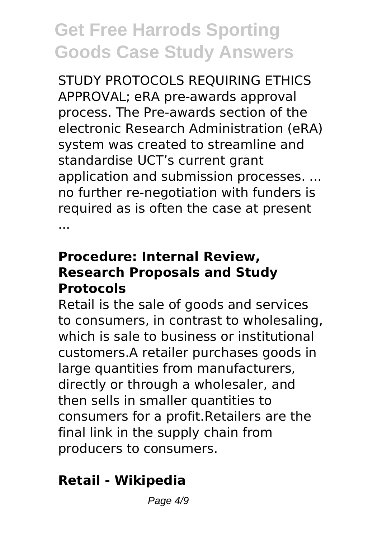STUDY PROTOCOLS REQUIRING ETHICS APPROVAL; eRA pre-awards approval process. The Pre-awards section of the electronic Research Administration (eRA) system was created to streamline and standardise UCT's current grant application and submission processes. ... no further re-negotiation with funders is required as is often the case at present ...

#### **Procedure: Internal Review, Research Proposals and Study Protocols**

Retail is the sale of goods and services to consumers, in contrast to wholesaling, which is sale to business or institutional customers.A retailer purchases goods in large quantities from manufacturers, directly or through a wholesaler, and then sells in smaller quantities to consumers for a profit.Retailers are the final link in the supply chain from producers to consumers.

### **Retail - Wikipedia**

Page  $4/9$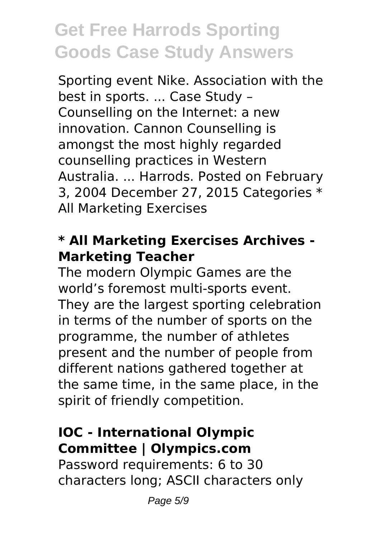Sporting event Nike. Association with the best in sports. ... Case Study – Counselling on the Internet: a new innovation. Cannon Counselling is amongst the most highly regarded counselling practices in Western Australia. ... Harrods. Posted on February 3, 2004 December 27, 2015 Categories \* All Marketing Exercises

#### **\* All Marketing Exercises Archives - Marketing Teacher**

The modern Olympic Games are the world's foremost multi-sports event. They are the largest sporting celebration in terms of the number of sports on the programme, the number of athletes present and the number of people from different nations gathered together at the same time, in the same place, in the spirit of friendly competition.

#### **IOC - International Olympic Committee | Olympics.com**

Password requirements: 6 to 30 characters long; ASCII characters only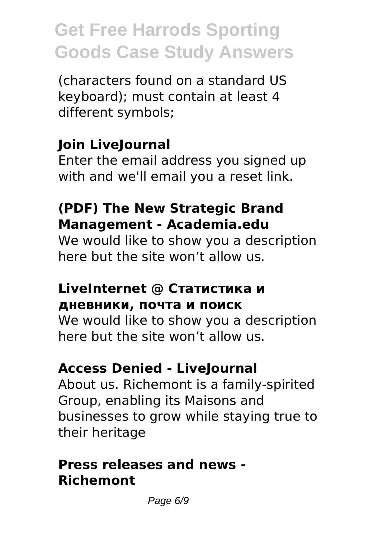(characters found on a standard US keyboard); must contain at least 4 different symbols;

### **Join LiveJournal**

Enter the email address you signed up with and we'll email you a reset link.

#### **(PDF) The New Strategic Brand Management - Academia.edu**

We would like to show you a description here but the site won't allow us.

#### **LiveInternet @ Статистика и дневники, почта и поиск**

We would like to show you a description here but the site won't allow us.

### **Access Denied - LiveJournal**

About us. Richemont is a family-spirited Group, enabling its Maisons and businesses to grow while staying true to their heritage

#### **Press releases and news - Richemont**

Page 6/9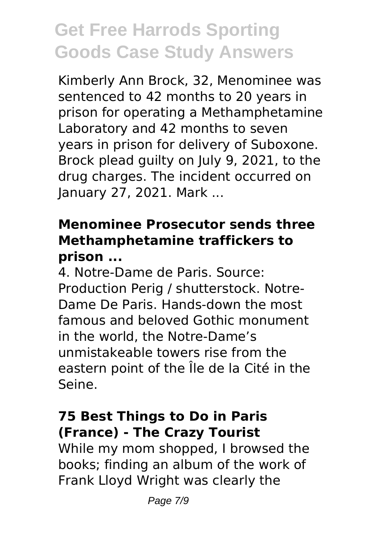Kimberly Ann Brock, 32, Menominee was sentenced to 42 months to 20 years in prison for operating a Methamphetamine Laboratory and 42 months to seven years in prison for delivery of Suboxone. Brock plead guilty on July 9, 2021, to the drug charges. The incident occurred on January 27, 2021. Mark ...

#### **Menominee Prosecutor sends three Methamphetamine traffickers to prison ...**

4. Notre-Dame de Paris. Source: Production Perig / shutterstock. Notre-Dame De Paris. Hands-down the most famous and beloved Gothic monument in the world, the Notre-Dame's unmistakeable towers rise from the eastern point of the Île de la Cité in the Seine.

#### **75 Best Things to Do in Paris (France) - The Crazy Tourist**

While my mom shopped, I browsed the books; finding an album of the work of Frank Lloyd Wright was clearly the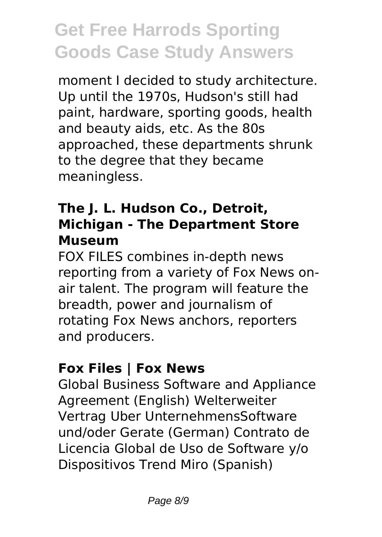moment I decided to study architecture. Up until the 1970s, Hudson's still had paint, hardware, sporting goods, health and beauty aids, etc. As the 80s approached, these departments shrunk to the degree that they became meaningless.

#### **The J. L. Hudson Co., Detroit, Michigan - The Department Store Museum**

FOX FILES combines in-depth news reporting from a variety of Fox News onair talent. The program will feature the breadth, power and journalism of rotating Fox News anchors, reporters and producers.

### **Fox Files | Fox News**

Global Business Software and Appliance Agreement (English) Welterweiter Vertrag Uber UnternehmensSoftware und/oder Gerate (German) Contrato de Licencia Global de Uso de Software y/o Dispositivos Trend Miro (Spanish)